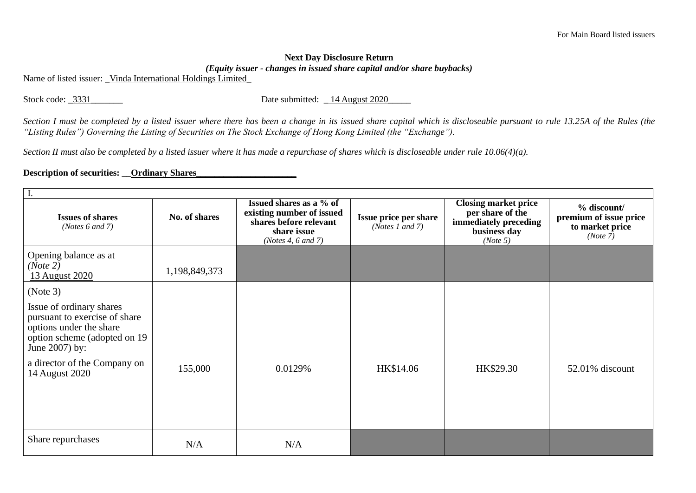## **Next Day Disclosure Return**  *(Equity issuer - changes in issued share capital and/or share buybacks)*

Name of listed issuer: Vinda International Holdings Limited

Stock code: \_3331\_\_\_\_\_\_\_\_\_ Date submitted: \_14 August 2020\_

*Section I must be completed by a listed issuer where there has been a change in its issued share capital which is discloseable pursuant to rule 13.25A of the Rules (the "Listing Rules") Governing the Listing of Securities on The Stock Exchange of Hong Kong Limited (the "Exchange").*

*Section II must also be completed by a listed issuer where it has made a repurchase of shares which is discloseable under rule 10.06(4)(a).*

## **Description of securities: \_\_Ordinary Shares\_**

| <b>Issues of shares</b><br>( <i>Notes</i> $6$ and $7$ )                                                                                 | No. of shares | Issued shares as a % of<br>existing number of issued<br>shares before relevant<br>share issue<br>(Notes 4, $6$ and $7$ ) | Issue price per share<br>( <i>Notes 1 and 7</i> ) | <b>Closing market price</b><br>per share of the<br>immediately preceding<br>business day<br>(Note 5) | $%$ discount/<br>premium of issue price<br>to market price<br>(Note 7) |
|-----------------------------------------------------------------------------------------------------------------------------------------|---------------|--------------------------------------------------------------------------------------------------------------------------|---------------------------------------------------|------------------------------------------------------------------------------------------------------|------------------------------------------------------------------------|
| Opening balance as at<br>(Note 2)<br>13 August 2020                                                                                     | 1,198,849,373 |                                                                                                                          |                                                   |                                                                                                      |                                                                        |
| (Note 3)                                                                                                                                |               |                                                                                                                          |                                                   |                                                                                                      |                                                                        |
| Issue of ordinary shares<br>pursuant to exercise of share<br>options under the share<br>option scheme (adopted on 19)<br>June 2007) by: |               |                                                                                                                          |                                                   |                                                                                                      |                                                                        |
| a director of the Company on<br>14 August 2020                                                                                          | 155,000       | 0.0129%                                                                                                                  | HK\$14.06                                         | HK\$29.30                                                                                            | 52.01% discount                                                        |
|                                                                                                                                         |               |                                                                                                                          |                                                   |                                                                                                      |                                                                        |
| Share repurchases                                                                                                                       | N/A           | N/A                                                                                                                      |                                                   |                                                                                                      |                                                                        |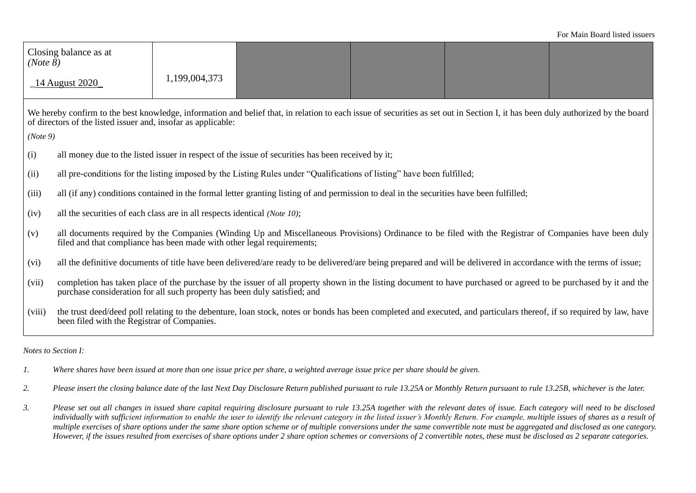| (Note 8)                                                                                                                                                                                                                                         | Closing balance as at                                                                                                                                                                                                                         | 1,199,004,373 |  |  |  |  |
|--------------------------------------------------------------------------------------------------------------------------------------------------------------------------------------------------------------------------------------------------|-----------------------------------------------------------------------------------------------------------------------------------------------------------------------------------------------------------------------------------------------|---------------|--|--|--|--|
| _14 August 2020_                                                                                                                                                                                                                                 |                                                                                                                                                                                                                                               |               |  |  |  |  |
| We hereby confirm to the best knowledge, information and belief that, in relation to each issue of securities as set out in Section I, it has been duly authorized by the board<br>of directors of the listed issuer and, insofar as applicable: |                                                                                                                                                                                                                                               |               |  |  |  |  |
| (Note 9)                                                                                                                                                                                                                                         |                                                                                                                                                                                                                                               |               |  |  |  |  |
| (i)                                                                                                                                                                                                                                              | all money due to the listed issuer in respect of the issue of securities has been received by it;                                                                                                                                             |               |  |  |  |  |
| (ii)                                                                                                                                                                                                                                             | all pre-conditions for the listing imposed by the Listing Rules under "Qualifications of listing" have been fulfilled;                                                                                                                        |               |  |  |  |  |
| (iii)                                                                                                                                                                                                                                            | all (if any) conditions contained in the formal letter granting listing of and permission to deal in the securities have been fulfilled;                                                                                                      |               |  |  |  |  |
| (iv)                                                                                                                                                                                                                                             | all the securities of each class are in all respects identical (Note 10);                                                                                                                                                                     |               |  |  |  |  |
| (v)                                                                                                                                                                                                                                              | all documents required by the Companies (Winding Up and Miscellaneous Provisions) Ordinance to be filed with the Registrar of Companies have been duly<br>filed and that compliance has been made with other legal requirements;              |               |  |  |  |  |
| (vi)                                                                                                                                                                                                                                             | all the definitive documents of title have been delivered/are ready to be delivered/are being prepared and will be delivered in accordance with the terms of issue;                                                                           |               |  |  |  |  |
| (vii)                                                                                                                                                                                                                                            | completion has taken place of the purchase by the issuer of all property shown in the listing document to have purchased or agreed to be purchased by it and the<br>purchase consideration for all such property has been duly satisfied; and |               |  |  |  |  |
| (viii)                                                                                                                                                                                                                                           | the trust deed/deed poll relating to the debenture, loan stock, notes or bonds has been completed and executed, and particulars thereof, if so required by law, have<br>been filed with the Registrar of Companies.                           |               |  |  |  |  |

## *Notes to Section I:*

- *1. Where shares have been issued at more than one issue price per share, a weighted average issue price per share should be given.*
- *2. Please insert the closing balance date of the last Next Day Disclosure Return published pursuant to rule 13.25A or Monthly Return pursuant to rule 13.25B, whichever is the later.*
- *3. Please set out all changes in issued share capital requiring disclosure pursuant to rule 13.25A together with the relevant dates of issue. Each category will need to be disclosed*  individually with sufficient information to enable the user to identify the relevant category in the listed issuer's Monthly Return. For example, multiple issues of shares as a result of *multiple exercises of share options under the same share option scheme or of multiple conversions under the same convertible note must be aggregated and disclosed as one category. However, if the issues resulted from exercises of share options under 2 share option schemes or conversions of 2 convertible notes, these must be disclosed as 2 separate categories.*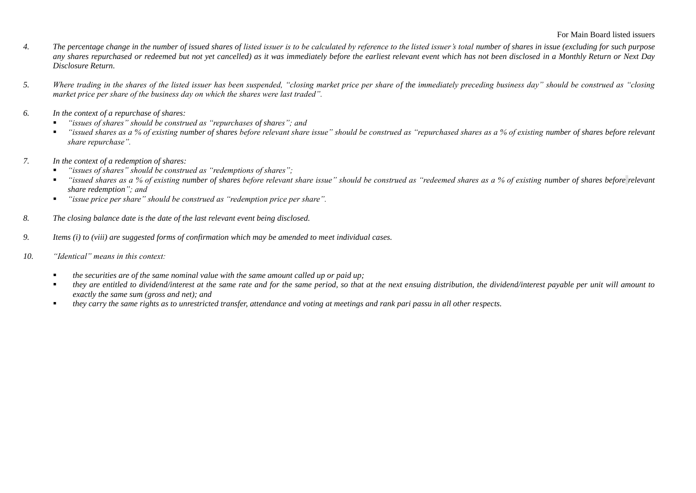- *4. The percentage change in the number of issued shares of listed issuer is to be calculated by reference to the listed issuer's total number of shares in issue (excluding for such purpose any shares repurchased or redeemed but not yet cancelled) as it was immediately before the earliest relevant event which has not been disclosed in a Monthly Return or Next Day Disclosure Return.*
- *5. Where trading in the shares of the listed issuer has been suspended, "closing market price per share of the immediately preceding business day" should be construed as "closing market price per share of the business day on which the shares were last traded".*
- *6. In the context of a repurchase of shares:*
	- *"issues of shares" should be construed as "repurchases of shares"; and*
	- "issued shares as a % of existing number of shares before relevant share issue" should be construed as "repurchased shares as a % of existing number of shares before relevant *share repurchase".*
- *7. In the context of a redemption of shares:*
	- *"issues of shares" should be construed as "redemptions of shares";*
	- *"issued shares as a % of existing number of shares before relevant share issue" should be construed as "redeemed shares as a % of existing number of shares before <i>relevant share redemption"; and*
	- *"issue price per share" should be construed as "redemption price per share".*
- *8. The closing balance date is the date of the last relevant event being disclosed.*
- *9. Items (i) to (viii) are suggested forms of confirmation which may be amended to meet individual cases.*
- *10. "Identical" means in this context:* 
	- *the securities are of the same nominal value with the same amount called up or paid up;*
	- *they are entitled to dividend/interest at the same rate and for the same period, so that at the next ensuing distribution, the dividend/interest payable per unit will amount to exactly the same sum (gross and net); and*
	- *they carry the same rights as to unrestricted transfer, attendance and voting at meetings and rank pari passu in all other respects.*